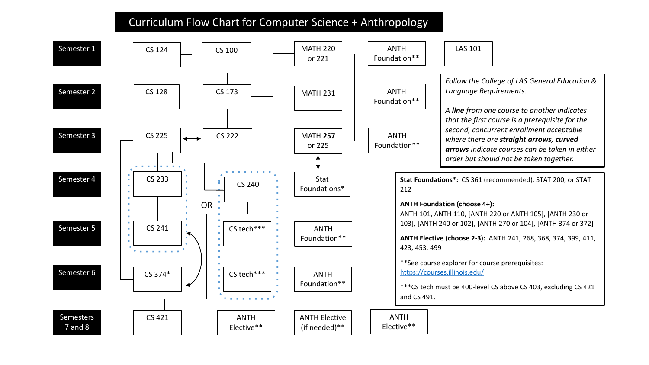## Curriculum Flow Chart for Computer Science + Anthropology